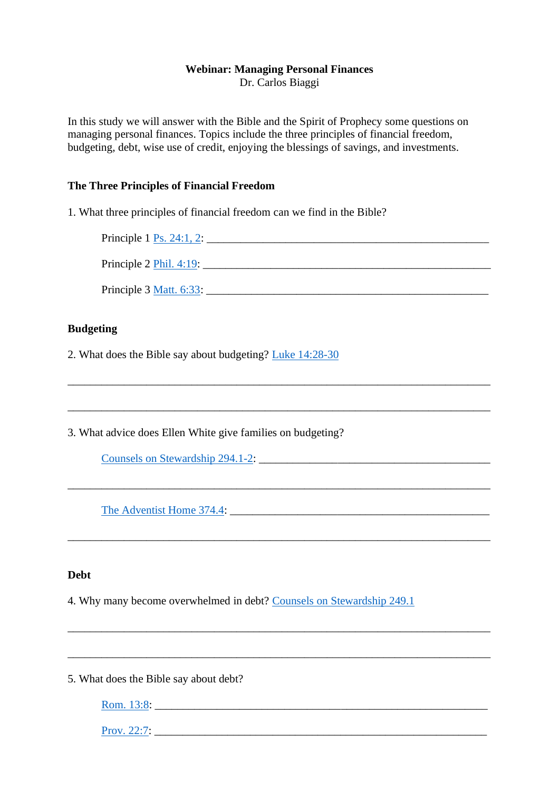# **Webinar: Managing Personal Finances**

Dr. Carlos Biaggi

In this study we will answer with the Bible and the Spirit of Prophecy some questions on managing personal finances. Topics include the three principles of financial freedom, budgeting, debt, wise use of credit, enjoying the blessings of savings, and investments.

## **The Three Principles of Financial Freedom**

1. What three principles of financial freedom can we find in the Bible?

Principle  $1 \text{ Ps. } 24:1, 2:$ Principle  $2 \text{ Phil. } 4:19$ : Principle 3 [Matt. 6:33:](https://www.biblegateway.com/passage/?search=Matt.+6%3A33&version=nkjv)

\_\_\_\_\_\_\_\_\_\_\_\_\_\_\_\_\_\_\_\_\_\_\_\_\_\_\_\_\_\_\_\_\_\_\_\_\_\_\_\_\_\_\_\_\_\_\_\_\_\_\_\_\_\_\_\_\_\_\_\_\_\_\_\_\_\_\_\_\_\_\_\_\_\_\_

\_\_\_\_\_\_\_\_\_\_\_\_\_\_\_\_\_\_\_\_\_\_\_\_\_\_\_\_\_\_\_\_\_\_\_\_\_\_\_\_\_\_\_\_\_\_\_\_\_\_\_\_\_\_\_\_\_\_\_\_\_\_\_\_\_\_\_\_\_\_\_\_\_\_\_

\_\_\_\_\_\_\_\_\_\_\_\_\_\_\_\_\_\_\_\_\_\_\_\_\_\_\_\_\_\_\_\_\_\_\_\_\_\_\_\_\_\_\_\_\_\_\_\_\_\_\_\_\_\_\_\_\_\_\_\_\_\_\_\_\_\_\_\_\_\_\_\_\_\_\_

\_\_\_\_\_\_\_\_\_\_\_\_\_\_\_\_\_\_\_\_\_\_\_\_\_\_\_\_\_\_\_\_\_\_\_\_\_\_\_\_\_\_\_\_\_\_\_\_\_\_\_\_\_\_\_\_\_\_\_\_\_\_\_\_\_\_\_\_\_\_\_\_\_\_\_

\_\_\_\_\_\_\_\_\_\_\_\_\_\_\_\_\_\_\_\_\_\_\_\_\_\_\_\_\_\_\_\_\_\_\_\_\_\_\_\_\_\_\_\_\_\_\_\_\_\_\_\_\_\_\_\_\_\_\_\_\_\_\_\_\_\_\_\_\_\_\_\_\_\_\_

\_\_\_\_\_\_\_\_\_\_\_\_\_\_\_\_\_\_\_\_\_\_\_\_\_\_\_\_\_\_\_\_\_\_\_\_\_\_\_\_\_\_\_\_\_\_\_\_\_\_\_\_\_\_\_\_\_\_\_\_\_\_\_\_\_\_\_\_\_\_\_\_\_\_\_

# **Budgeting**

2. What does the Bible say about budgeting? [Luke 14:28-30](https://www.biblegateway.com/passage/?search=Luke+14%3A28-30&version=NASB)

3. What advice does Ellen White give families on budgeting?

[Counsels on Stewardship 294.1-2:](https://m.egwwritings.org/en/book/22.1709#1710)

[The Adventist Home 374.4:](https://m.egwwritings.org/en/book/128.1709#1724)

## **Debt**

4. Why many become overwhelmed in debt? [Counsels on Stewardship 249.1](https://m.egwwritings.org/en/book/22.1455#1457)

5. What does the Bible say about debt?

[Rom. 13:8:](https://www.biblegateway.com/passage/?search=Rom.+13%3A8&version=NIV)

[Prov. 22:7:](https://www.biblegateway.com/passage/?search=Prov.+22%3A7&version=NIV) \_\_\_\_\_\_\_\_\_\_\_\_\_\_\_\_\_\_\_\_\_\_\_\_\_\_\_\_\_\_\_\_\_\_\_\_\_\_\_\_\_\_\_\_\_\_\_\_\_\_\_\_\_\_\_\_\_\_\_